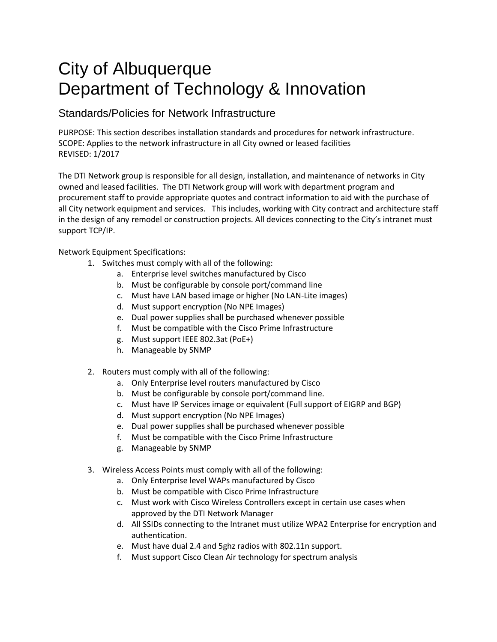## City of Albuquerque Department of Technology & Innovation

## Standards/Policies for Network Infrastructure

PURPOSE: This section describes installation standards and procedures for network infrastructure. SCOPE: Applies to the network infrastructure in all City owned or leased facilities REVISED: 1/2017

The DTI Network group is responsible for all design, installation, and maintenance of networks in City owned and leased facilities. The DTI Network group will work with department program and procurement staff to provide appropriate quotes and contract information to aid with the purchase of all City network equipment and services. This includes, working with City contract and architecture staff in the design of any remodel or construction projects. All devices connecting to the City's intranet must support TCP/IP.

Network Equipment Specifications:

- 1. Switches must comply with all of the following:
	- a. Enterprise level switches manufactured by Cisco
	- b. Must be configurable by console port/command line
	- c. Must have LAN based image or higher (No LAN-Lite images)
	- d. Must support encryption (No NPE Images)
	- e. Dual power supplies shall be purchased whenever possible
	- f. Must be compatible with the Cisco Prime Infrastructure
	- g. Must support IEEE 802.3at (PoE+)
	- h. Manageable by SNMP
- 2. Routers must comply with all of the following:
	- a. Only Enterprise level routers manufactured by Cisco
	- b. Must be configurable by console port/command line.
	- c. Must have IP Services image or equivalent (Full support of EIGRP and BGP)
	- d. Must support encryption (No NPE Images)
	- e. Dual power supplies shall be purchased whenever possible
	- f. Must be compatible with the Cisco Prime Infrastructure
	- g. Manageable by SNMP
- 3. Wireless Access Points must comply with all of the following:
	- a. Only Enterprise level WAPs manufactured by Cisco
	- b. Must be compatible with Cisco Prime Infrastructure
	- c. Must work with Cisco Wireless Controllers except in certain use cases when approved by the DTI Network Manager
	- d. All SSIDs connecting to the Intranet must utilize WPA2 Enterprise for encryption and authentication.
	- e. Must have dual 2.4 and 5ghz radios with 802.11n support.
	- f. Must support Cisco Clean Air technology for spectrum analysis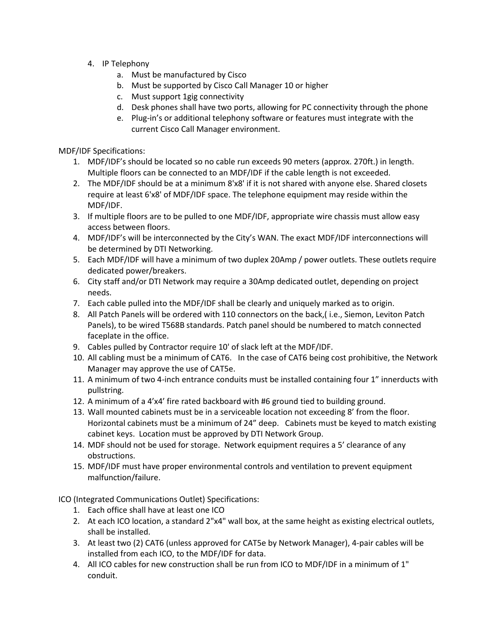- 4. IP Telephony
	- a. Must be manufactured by Cisco
	- b. Must be supported by Cisco Call Manager 10 or higher
	- c. Must support 1gig connectivity
	- d. Desk phones shall have two ports, allowing for PC connectivity through the phone
	- e. Plug-in's or additional telephony software or features must integrate with the current Cisco Call Manager environment.

MDF/IDF Specifications:

- 1. MDF/IDF's should be located so no cable run exceeds 90 meters (approx. 270ft.) in length. Multiple floors can be connected to an MDF/IDF if the cable length is not exceeded.
- 2. The MDF/IDF should be at a minimum 8'x8' if it is not shared with anyone else. Shared closets require at least 6'x8' of MDF/IDF space. The telephone equipment may reside within the MDF/IDF.
- 3. If multiple floors are to be pulled to one MDF/IDF, appropriate wire chassis must allow easy access between floors.
- 4. MDF/IDF's will be interconnected by the City's WAN. The exact MDF/IDF interconnections will be determined by DTI Networking.
- 5. Each MDF/IDF will have a minimum of two duplex 20Amp / power outlets. These outlets require dedicated power/breakers.
- 6. City staff and/or DTI Network may require a 30Amp dedicated outlet, depending on project needs.
- 7. Each cable pulled into the MDF/IDF shall be clearly and uniquely marked as to origin.
- 8. All Patch Panels will be ordered with 110 connectors on the back,( i.e., Siemon, Leviton Patch Panels), to be wired T568B standards. Patch panel should be numbered to match connected faceplate in the office.
- 9. Cables pulled by Contractor require 10' of slack left at the MDF/IDF.
- 10. All cabling must be a minimum of CAT6. In the case of CAT6 being cost prohibitive, the Network Manager may approve the use of CAT5e.
- 11. A minimum of two 4-inch entrance conduits must be installed containing four 1" innerducts with pullstring.
- 12. A minimum of a 4'x4' fire rated backboard with #6 ground tied to building ground.
- 13. Wall mounted cabinets must be in a serviceable location not exceeding 8' from the floor. Horizontal cabinets must be a minimum of 24" deep. Cabinets must be keyed to match existing cabinet keys. Location must be approved by DTI Network Group.
- 14. MDF should not be used for storage. Network equipment requires a 5' clearance of any obstructions.
- 15. MDF/IDF must have proper environmental controls and ventilation to prevent equipment malfunction/failure.

ICO (Integrated Communications Outlet) Specifications:

- 1. Each office shall have at least one ICO
- 2. At each ICO location, a standard 2"x4" wall box, at the same height as existing electrical outlets, shall be installed.
- 3. At least two (2) CAT6 (unless approved for CAT5e by Network Manager), 4-pair cables will be installed from each ICO, to the MDF/IDF for data.
- 4. All ICO cables for new construction shall be run from ICO to MDF/IDF in a minimum of 1" conduit.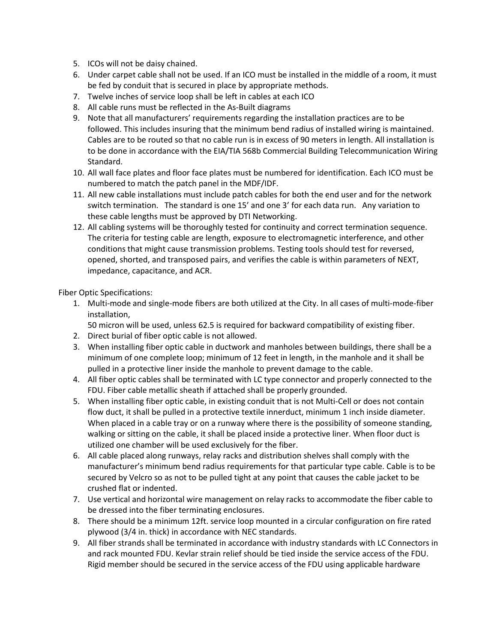- 5. ICOs will not be daisy chained.
- 6. Under carpet cable shall not be used. If an ICO must be installed in the middle of a room, it must be fed by conduit that is secured in place by appropriate methods.
- 7. Twelve inches of service loop shall be left in cables at each ICO
- 8. All cable runs must be reflected in the As-Built diagrams
- 9. Note that all manufacturers' requirements regarding the installation practices are to be followed. This includes insuring that the minimum bend radius of installed wiring is maintained. Cables are to be routed so that no cable run is in excess of 90 meters in length. All installation is to be done in accordance with the EIA/TIA 568b Commercial Building Telecommunication Wiring Standard.
- 10. All wall face plates and floor face plates must be numbered for identification. Each ICO must be numbered to match the patch panel in the MDF/IDF.
- 11. All new cable installations must include patch cables for both the end user and for the network switch termination. The standard is one 15' and one 3' for each data run. Any variation to these cable lengths must be approved by DTI Networking.
- 12. All cabling systems will be thoroughly tested for continuity and correct termination sequence. The criteria for testing cable are length, exposure to electromagnetic interference, and other conditions that might cause transmission problems. Testing tools should test for reversed, opened, shorted, and transposed pairs, and verifies the cable is within parameters of NEXT, impedance, capacitance, and ACR.

Fiber Optic Specifications:

- 1. Multi-mode and single-mode fibers are both utilized at the City. In all cases of multi-mode-fiber installation,
	- 50 micron will be used, unless 62.5 is required for backward compatibility of existing fiber.
- 2. Direct burial of fiber optic cable is not allowed.
- 3. When installing fiber optic cable in ductwork and manholes between buildings, there shall be a minimum of one complete loop; minimum of 12 feet in length, in the manhole and it shall be pulled in a protective liner inside the manhole to prevent damage to the cable.
- 4. All fiber optic cables shall be terminated with LC type connector and properly connected to the FDU. Fiber cable metallic sheath if attached shall be properly grounded.
- 5. When installing fiber optic cable, in existing conduit that is not Multi-Cell or does not contain flow duct, it shall be pulled in a protective textile innerduct, minimum 1 inch inside diameter. When placed in a cable tray or on a runway where there is the possibility of someone standing, walking or sitting on the cable, it shall be placed inside a protective liner. When floor duct is utilized one chamber will be used exclusively for the fiber.
- 6. All cable placed along runways, relay racks and distribution shelves shall comply with the manufacturer's minimum bend radius requirements for that particular type cable. Cable is to be secured by Velcro so as not to be pulled tight at any point that causes the cable jacket to be crushed flat or indented.
- 7. Use vertical and horizontal wire management on relay racks to accommodate the fiber cable to be dressed into the fiber terminating enclosures.
- 8. There should be a minimum 12ft. service loop mounted in a circular configuration on fire rated plywood (3/4 in. thick) in accordance with NEC standards.
- 9. All fiber strands shall be terminated in accordance with industry standards with LC Connectors in and rack mounted FDU. Kevlar strain relief should be tied inside the service access of the FDU. Rigid member should be secured in the service access of the FDU using applicable hardware